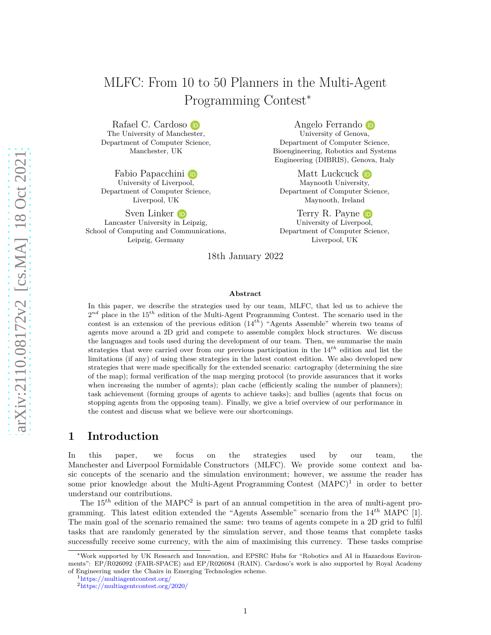# MLFC: From 10 to 50 Planners in the Multi-Agent Programming Contest<sup>∗</sup>

Rafael C. Cardoso The University of Manch[ester](https://orcid.org/0000-0001-6666-6954), Department of Computer Science, Manchester, UK

Fabio Papacchini University of Liverpool, Department of Computer Science, Liverpool, UK

Sven Linker in Lancaster University i[n Le](https://orcid.org/0000-0003-2913-7943)ipzig, School of Computing and Communications, Leipzig, Germany

Angelo Ferrando

University of Genov[a,](https://orcid.org/0000-0002-8711-4670) Department of Computer Science, Bioengineering, Robotics and Systems Engineering (DIBRIS), Genova, Italy

Matt Luckcuck **D** Maynooth University, Department of Computer Science, Maynooth, Ireland

Terry R. Payne **D** University of Liverp[ool,](https://orcid.org/0000-0002-0106-8731) Department of Computer Science, Liverpool, UK

18th January 2022

#### **Abstract**

In this paper, we describe the strategies used by our team, MLFC, that led us to achieve the 2 *nd* place in the 15*th* edition of the Multi-Agent Programming Contest. The scenario used in the contest is an extension of the previous edition (14*th*) "Agents Assemble" wherein two teams of agents move around a 2D grid and compete to assemble complex block structures. We discuss the languages and tools used during the development of our team. Then, we summarise the main strategies that were carried over from our previous participation in the 14*th* edition and list the limitations (if any) of using these strategies in the latest contest edition. We also developed new strategies that were made specifically for the extended scenario: cartography (determining the size of the map); formal verification of the map merging protocol (to provide assurances that it works when increasing the number of agents); plan cache (efficiently scaling the number of planners); task achievement (forming groups of agents to achieve tasks); and bullies (agents that focus on stopping agents from the opposing team). Finally, we give a brief overview of our performance in the contest and discuss what we believe were our shortcomings.

# **1 Introduction**

In this paper, we focus on the strategies used by our team, the Manchester and Liverpool Formidable Constructors (MLFC). We provide some context and basic concepts of the scenario and the simulation environment; however, we assume the reader has some prior knowledge about the Multi-Agent Programming Contest  $(MAPC)^1$  $(MAPC)^1$  in order to better understand our contributions.

The 15<sup>th</sup> edition of the MAPC<sup>[2](#page-0-1)</sup> is part of an annual competition in the area of multi-agent programming. This latest edition extended the "Agents Assemble" scenario from the 14*th* MAPC [\[1\]](#page-16-0). The main goal of the scenario remained the same: two teams of agents compete in a 2D grid to fulfil tasks that are randomly generated by the simulation server, and those teams that complete tasks successfully receive some currency, with the aim of maximising this currency. These tasks comprise

<sup>∗</sup>Work supported by UK Research and Innovation, and EPSRC Hubs for "Robotics and AI in Hazardous Environments": EP/R026092 (FAIR-SPACE) and EP/R026084 (RAIN). Cardoso's work is also supported by Royal Academy of Engineering under the Chairs in Emerging Technologies scheme.

<sup>1</sup><https://multiagentcontest.org/>

<span id="page-0-1"></span><span id="page-0-0"></span><sup>2</sup><https://multiagentcontest.org/2020/>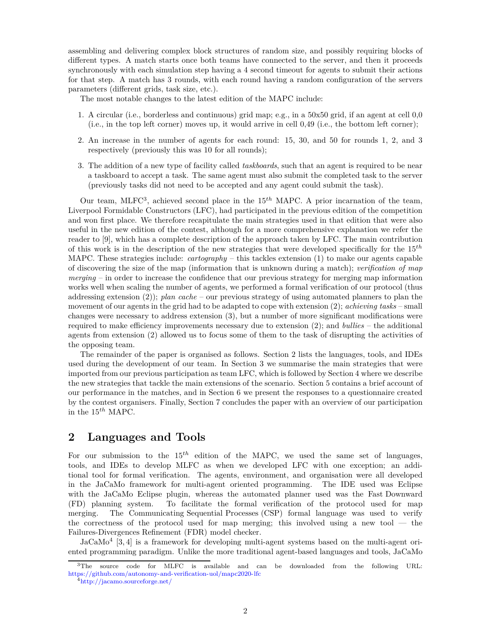assembling and delivering complex block structures of random size, and possibly requiring blocks of different types. A match starts once both teams have connected to the server, and then it proceeds synchronously with each simulation step having a 4 second timeout for agents to submit their actions for that step. A match has 3 rounds, with each round having a random configuration of the servers parameters (different grids, task size, etc.).

The most notable changes to the latest edition of the MAPC include:

- 1. A circular (i.e., borderless and continuous) grid map; e.g., in a 50x50 grid, if an agent at cell 0,0 (i.e., in the top left corner) moves up, it would arrive in cell 0,49 (i.e., the bottom left corner);
- 2. An increase in the number of agents for each round: 15, 30, and 50 for rounds 1, 2, and 3 respectively (previously this was 10 for all rounds);
- 3. The addition of a new type of facility called *taskboards*, such that an agent is required to be near a taskboard to accept a task. The same agent must also submit the completed task to the server (previously tasks did not need to be accepted and any agent could submit the task).

Our team, MLFC[3](#page-1-0) , achieved second place in the 15*th* MAPC. A prior incarnation of the team, Liverpool Formidable Constructors (LFC), had participated in the previous edition of the competition and won first place. We therefore recapitulate the main strategies used in that edition that were also useful in the new edition of the contest, although for a more comprehensive explanation we refer the reader to [\[9\]](#page-17-0), which has a complete description of the approach taken by LFC. The main contribution of this work is in the description of the new strategies that were developed specifically for the 15*th* MAPC. These strategies include: *cartography* – this tackles extension (1) to make our agents capable of discovering the size of the map (information that is unknown during a match); *verification of map merging* – in order to increase the confidence that our previous strategy for merging map information works well when scaling the number of agents, we performed a formal verification of our protocol (thus addressing extension (2)); *plan cache* – our previous strategy of using automated planners to plan the movement of our agents in the grid had to be adapted to cope with extension (2); *achieving tasks* – small changes were necessary to address extension (3), but a number of more significant modifications were required to make efficiency improvements necessary due to extension (2); and *bullies* – the additional agents from extension (2) allowed us to focus some of them to the task of disrupting the activities of the opposing team.

The remainder of the paper is organised as follows. Section [2](#page-1-1) lists the languages, tools, and IDEs used during the development of our team. In Section [3](#page-2-0) we summarise the main strategies that were imported from our previous participation as team LFC, which is followed by Section [4](#page-6-0) where we describe the new strategies that tackle the main extensions of the scenario. Section [5](#page-11-0) contains a brief account of our performance in the matches, and in Section [6](#page-12-0) we present the responses to a questionnaire created by the contest organisers. Finally, Section [7](#page-16-1) concludes the paper with an overview of our participation in the 15*th* MAPC.

# <span id="page-1-1"></span>**2 Languages and Tools**

For our submission to the 15*th* edition of the MAPC, we used the same set of languages, tools, and IDEs to develop MLFC as when we developed LFC with one exception; an additional tool for formal verification. The agents, environment, and organisation were all developed in the JaCaMo framework for multi-agent oriented programming. The IDE used was Eclipse with the JaCaMo Eclipse plugin, whereas the automated planner used was the Fast Downward (FD) planning system. To facilitate the formal verification of the protocol used for map merging. The Communicating Sequential Processes (CSP) formal language was used to verify the correctness of the protocol used for map merging; this involved using a new tool — the Failures-Divergences Refinement (FDR) model checker.

JaCaMo<sup>[4](#page-1-2)</sup> [\[3,](#page-16-2) [4\]](#page-16-3) is a framework for developing multi-agent systems based on the multi-agent oriented programming paradigm. Unlike the more traditional agent-based languages and tools, JaCaMo

<sup>3</sup>The source code for MLFC is available and can be downloaded from the following URL: <https://github.com/autonomy-and-verification-uol/mapc2020-lfc>

<span id="page-1-2"></span><span id="page-1-0"></span><sup>4</sup><http://jacamo.sourceforge.net/>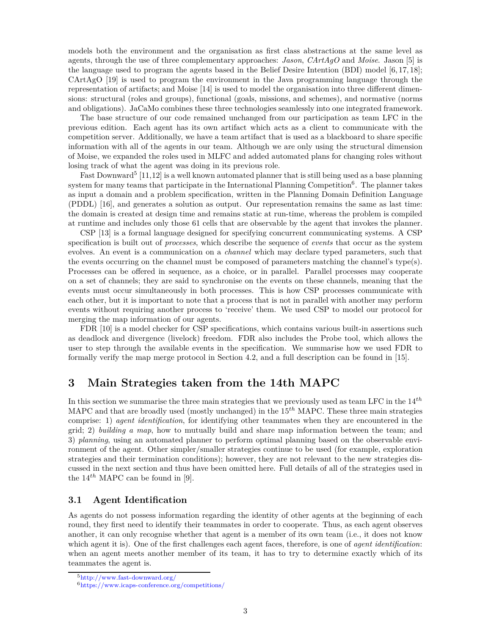models both the environment and the organisation as first class abstractions at the same level as agents, through the use of three complementary approaches: *Jason*, *CArtAgO* and *Moise*. Jason [\[5\]](#page-16-4) is the language used to program the agents based in the Belief Desire Intention (BDI) model [\[6,](#page-16-5) [17,](#page-17-1) [18\]](#page-17-2); CArtAgO [\[19\]](#page-17-3) is used to program the environment in the Java programming language through the representation of artifacts; and Moise [\[14\]](#page-17-4) is used to model the organisation into three different dimensions: structural (roles and groups), functional (goals, missions, and schemes), and normative (norms and obligations). JaCaMo combines these three technologies seamlessly into one integrated framework.

The base structure of our code remained unchanged from our participation as team LFC in the previous edition. Each agent has its own artifact which acts as a client to communicate with the competition server. Additionally, we have a team artifact that is used as a blackboard to share specific information with all of the agents in our team. Although we are only using the structural dimension of Moise, we expanded the roles used in MLFC and added automated plans for changing roles without losing track of what the agent was doing in its previous role.

Fast Downward<sup>[5](#page-2-1)</sup> [\[11](#page-17-5)[,12\]](#page-17-6) is a well known automated planner that is still being used as a base planning system for many teams that participate in the International Planning Competition<sup>[6](#page-2-2)</sup>. The planner takes as input a domain and a problem specification, written in the Planning Domain Definition Language (PDDL) [\[16\]](#page-17-7), and generates a solution as output. Our representation remains the same as last time: the domain is created at design time and remains static at run-time, whereas the problem is compiled at runtime and includes only those 61 cells that are observable by the agent that invokes the planner.

CSP [\[13\]](#page-17-8) is a formal language designed for specifying concurrent communicating systems. A CSP specification is built out of *processes*, which describe the sequence of *events* that occur as the system evolves. An event is a communication on a *channel* which may declare typed parameters, such that the events occurring on the channel must be composed of parameters matching the channel's type(s). Processes can be offered in sequence, as a choice, or in parallel. Parallel processes may cooperate on a set of channels; they are said to synchronise on the events on these channels, meaning that the events must occur simultaneously in both processes. This is how CSP processes communicate with each other, but it is important to note that a process that is not in parallel with another may perform events without requiring another process to 'receive' them. We used CSP to model our protocol for merging the map information of our agents.

FDR [\[10\]](#page-17-9) is a model checker for CSP specifications, which contains various built-in assertions such as deadlock and divergence (livelock) freedom. FDR also includes the Probe tool, which allows the user to step through the available events in the specification. We summarise how we used FDR to formally verify the map merge protocol in Section [4.2,](#page-7-0) and a full description can be found in [\[15\]](#page-17-10).

# <span id="page-2-0"></span>**3 Main Strategies taken from the 14th MAPC**

In this section we summarise the three main strategies that we previously used as team LFC in the 14*th* MAPC and that are broadly used (mostly unchanged) in the 15*th* MAPC. These three main strategies comprise: 1) *agent identification*, for identifying other teammates when they are encountered in the grid; 2) *building a map*, how to mutually build and share map information between the team; and 3) *planning*, using an automated planner to perform optimal planning based on the observable environment of the agent. Other simpler/smaller strategies continue to be used (for example, exploration strategies and their termination conditions); however, they are not relevant to the new strategies discussed in the next section and thus have been omitted here. Full details of all of the strategies used in the  $14^{th}$  MAPC can be found in [\[9\]](#page-17-0).

# <span id="page-2-3"></span>**3.1 Agent Identification**

As agents do not possess information regarding the identity of other agents at the beginning of each round, they first need to identify their teammates in order to cooperate. Thus, as each agent observes another, it can only recognise whether that agent is a member of its own team (i.e., it does not know which agent it is). One of the first challenges each agent faces, therefore, is one of *agent identification*: when an agent meets another member of its team, it has to try to determine exactly which of its teammates the agent is.

<sup>5</sup><http://www.fast-downward.org/>

<span id="page-2-2"></span><span id="page-2-1"></span><sup>6</sup><https://www.icaps-conference.org/competitions/>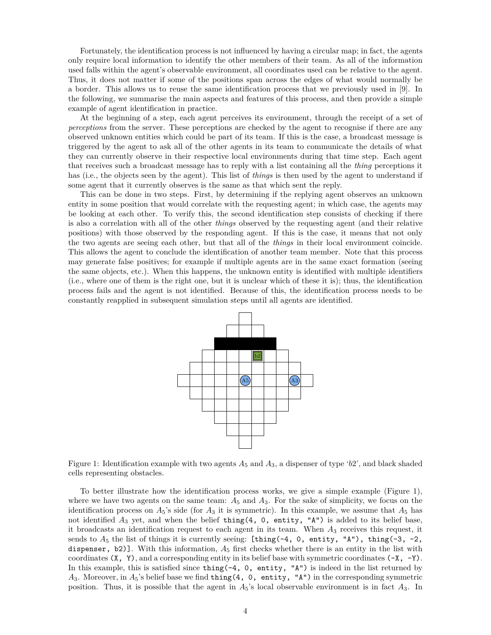Fortunately, the identification process is not influenced by having a circular map; in fact, the agents only require local information to identify the other members of their team. As all of the information used falls within the agent's observable environment, all coordinates used can be relative to the agent. Thus, it does not matter if some of the positions span across the edges of what would normally be a border. This allows us to reuse the same identification process that we previously used in [\[9\]](#page-17-0). In the following, we summarise the main aspects and features of this process, and then provide a simple example of agent identification in practice.

At the beginning of a step, each agent perceives its environment, through the receipt of a set of *perceptions* from the server. These perceptions are checked by the agent to recognise if there are any observed unknown entities which could be part of its team. If this is the case, a broadcast message is triggered by the agent to ask all of the other agents in its team to communicate the details of what they can currently observe in their respective local environments during that time step. Each agent that receives such a broadcast message has to reply with a list containing all the *thing* perceptions it has (i.e., the objects seen by the agent). This list of *things* is then used by the agent to understand if some agent that it currently observes is the same as that which sent the reply.

This can be done in two steps. First, by determining if the replying agent observes an unknown entity in some position that would correlate with the requesting agent; in which case, the agents may be looking at each other. To verify this, the second identification step consists of checking if there is also a correlation with all of the other *things* observed by the requesting agent (and their relative positions) with those observed by the responding agent. If this is the case, it means that not only the two agents are seeing each other, but that all of the *things* in their local environment coincide. This allows the agent to conclude the identification of another team member. Note that this process may generate false positives; for example if multiple agents are in the same exact formation (seeing the same objects, etc.). When this happens, the unknown entity is identified with multiple identifiers (i.e., where one of them is the right one, but it is unclear which of these it is); thus, the identification process fails and the agent is not identified. Because of this, the identification process needs to be constantly reapplied in subsequent simulation steps until all agents are identified.



<span id="page-3-0"></span>Figure 1: Identification example with two agents  $A_5$  and  $A_3$ , a dispenser of type '*b*2', and black shaded cells representing obstacles.

To better illustrate how the identification process works, we give a simple example (Figure [1\)](#page-3-0), where we have two agents on the same team:  $A_5$  and  $A_3$ . For the sake of simplicity, we focus on the identification process on  $A_5$ 's side (for  $A_3$  it is symmetric). In this example, we assume that  $A_5$  has not identified *A*<sup>3</sup> yet, and when the belief thing(4, 0, entity, "A") is added to its belief base, it broadcasts an identification request to each agent in its team. When *A*<sup>3</sup> receives this request, it sends to  $A_5$  the list of things it is currently seeing: [thing(-4, 0, entity, "A"), thing(-3, -2, dispenser, b2)]. With this information, *A*<sup>5</sup> first checks whether there is an entity in the list with coordinates  $(X, Y)$ , and a corresponding entity in its belief base with symmetric coordinates  $(-X, -Y)$ . In this example, this is satisfied since thing( $-4$ , 0, entity, "A") is indeed in the list returned by *A*3. Moreover, in *A*5's belief base we find thing(4, 0, entity, "A") in the corresponding symmetric position. Thus, it is possible that the agent in  $A_5$ 's local observable environment is in fact  $A_3$ . In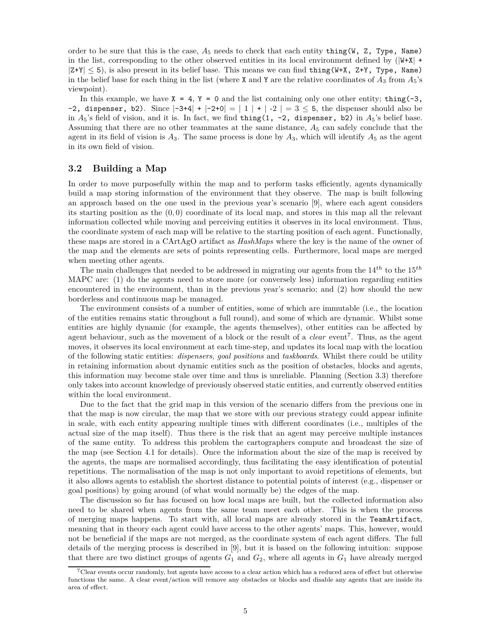order to be sure that this is the case, *A*<sup>5</sup> needs to check that each entity thing(W, Z, Type, Name) in the list, corresponding to the other observed entities in its local environment defined by  $(|W+X| +$  $|Z+Y| \leq 5$ ), is also present in its belief base. This means we can find thing (W+X, Z+Y, Type, Name) in the belief base for each thing in the list (where X and Y are the relative coordinates of  $A_3$  from  $A_5$ 's viewpoint).

In this example, we have  $X = 4$ ,  $Y = 0$  and the list containing only one other entity; thing (-3, -2, dispenser, b2). Since  $|-3+4|$  +  $|-2+0| = |1|$  +  $|-2| = 3 \le 5$ , the dispenser should also be in  $A_5$ 's field of vision, and it is. In fact, we find thing(1, -2, dispenser, b2) in  $A_5$ 's belief base. Assuming that there are no other teammates at the same distance, *A*<sup>5</sup> can safely conclude that the agent in its field of vision is  $A_3$ . The same process is done by  $A_3$ , which will identify  $A_5$  as the agent in its own field of vision.

# <span id="page-4-1"></span>**3.2 Building a Map**

In order to move purposefully within the map and to perform tasks efficiently, agents dynamically build a map storing information of the environment that they observe. The map is built following an approach based on the one used in the previous year's scenario [\[9\]](#page-17-0), where each agent considers its starting position as the (0*,* 0) coordinate of its local map, and stores in this map all the relevant information collected while moving and perceiving entities it observes in its local environment. Thus, the coordinate system of each map will be relative to the starting position of each agent. Functionally, these maps are stored in a CArtAgO artifact as *HashMaps* where the key is the name of the owner of the map and the elements are sets of points representing cells. Furthermore, local maps are merged when meeting other agents.

The main challenges that needed to be addressed in migrating our agents from the 14*th* to the 15*th* MAPC are: (1) do the agents need to store more (or conversely less) information regarding entities encountered in the environment, than in the previous year's scenario; and (2) how should the new borderless and continuous map be managed.

The environment consists of a number of entities, some of which are immutable (i.e., the location of the entities remains static throughout a full round), and some of which are dynamic. Whilst some entities are highly dynamic (for example, the agents themselves), other entities can be affected by agent behaviour, such as the movement of a block or the result of a *clear* event<sup>[7](#page-4-0)</sup>. Thus, as the agent moves, it observes its local environment at each time-step, and updates its local map with the location of the following static entities: *dispensers*, *goal positions* and *taskboards*. Whilst there could be utility in retaining information about dynamic entities such as the position of obstacles, blocks and agents, this information may become stale over time and thus is unreliable. Planning (Section [3.3\)](#page-5-0) therefore only takes into account knowledge of previously observed static entities, and currently observed entities within the local environment.

Due to the fact that the grid map in this version of the scenario differs from the previous one in that the map is now circular, the map that we store with our previous strategy could appear infinite in scale, with each entity appearing multiple times with different coordinates (i.e., multiples of the actual size of the map itself). Thus there is the risk that an agent may perceive multiple instances of the same entity. To address this problem the cartographers compute and broadcast the size of the map (see Section [4.1](#page-6-1) for details). Once the information about the size of the map is received by the agents, the maps are normalised accordingly, thus facilitating the easy identification of potential repetitions. The normalisation of the map is not only important to avoid repetitions of elements, but it also allows agents to establish the shortest distance to potential points of interest (e.g., dispenser or goal positions) by going around (of what would normally be) the edges of the map.

The discussion so far has focused on how local maps are built, but the collected information also need to be shared when agents from the same team meet each other. This is when the process of merging maps happens. To start with, all local maps are already stored in the TeamArtifact, meaning that in theory each agent could have access to the other agents' maps. This, however, would not be beneficial if the maps are not merged, as the coordinate system of each agent differs. The full details of the merging process is described in [\[9\]](#page-17-0), but it is based on the following intuition: suppose that there are two distinct groups of agents  $G_1$  and  $G_2$ , where all agents in  $G_1$  have already merged

<span id="page-4-0"></span><sup>&</sup>lt;sup>7</sup>Clear events occur randomly, but agents have access to a clear action which has a reduced area of effect but otherwise functions the same. A clear event/action will remove any obstacles or blocks and disable any agents that are inside its area of effect.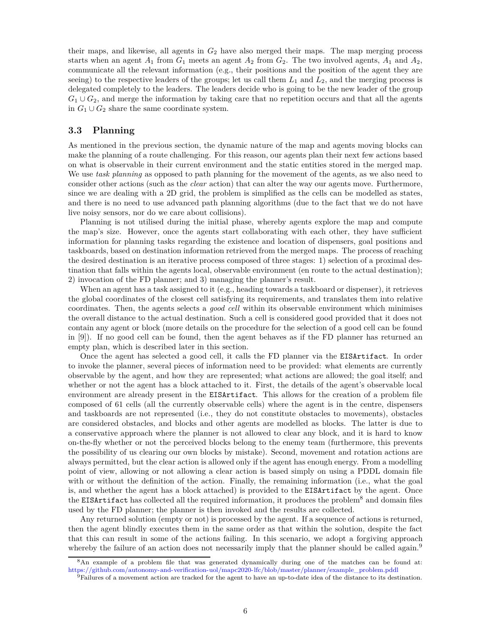their maps, and likewise, all agents in *G*<sup>2</sup> have also merged their maps. The map merging process starts when an agent  $A_1$  from  $G_1$  meets an agent  $A_2$  from  $G_2$ . The two involved agents,  $A_1$  and  $A_2$ , communicate all the relevant information (e.g., their positions and the position of the agent they are seeing) to the respective leaders of the groups; let us call them  $L_1$  and  $L_2$ , and the merging process is delegated completely to the leaders. The leaders decide who is going to be the new leader of the group  $G_1 \cup G_2$ , and merge the information by taking care that no repetition occurs and that all the agents in  $G_1 \cup G_2$  share the same coordinate system.

# <span id="page-5-0"></span>**3.3 Planning**

As mentioned in the previous section, the dynamic nature of the map and agents moving blocks can make the planning of a route challenging. For this reason, our agents plan their next few actions based on what is observable in their current environment and the static entities stored in the merged map. We use *task planning* as opposed to path planning for the movement of the agents, as we also need to consider other actions (such as the *clear* action) that can alter the way our agents move. Furthermore, since we are dealing with a 2D grid, the problem is simplified as the cells can be modelled as states, and there is no need to use advanced path planning algorithms (due to the fact that we do not have live noisy sensors, nor do we care about collisions).

Planning is not utilised during the initial phase, whereby agents explore the map and compute the map's size. However, once the agents start collaborating with each other, they have sufficient information for planning tasks regarding the existence and location of dispensers, goal positions and taskboards, based on destination information retrieved from the merged maps. The process of reaching the desired destination is an iterative process composed of three stages: 1) selection of a proximal destination that falls within the agents local, observable environment (en route to the actual destination); 2) invocation of the FD planner; and 3) managing the planner's result.

When an agent has a task assigned to it (e.g., heading towards a taskboard or dispenser), it retrieves the global coordinates of the closest cell satisfying its requirements, and translates them into relative coordinates. Then, the agents selects a *good cell* within its observable environment which minimises the overall distance to the actual destination. Such a cell is considered good provided that it does not contain any agent or block (more details on the procedure for the selection of a good cell can be found in [\[9\]](#page-17-0)). If no good cell can be found, then the agent behaves as if the FD planner has returned an empty plan, which is described later in this section.

Once the agent has selected a good cell, it calls the FD planner via the EISArtifact. In order to invoke the planner, several pieces of information need to be provided: what elements are currently observable by the agent, and how they are represented; what actions are allowed; the goal itself; and whether or not the agent has a block attached to it. First, the details of the agent's observable local environment are already present in the EISArtifact. This allows for the creation of a problem file composed of 61 cells (all the currently observable cells) where the agent is in the centre, dispensers and taskboards are not represented (i.e., they do not constitute obstacles to movements), obstacles are considered obstacles, and blocks and other agents are modelled as blocks. The latter is due to a conservative approach where the planner is not allowed to clear any block, and it is hard to know on-the-fly whether or not the perceived blocks belong to the enemy team (furthermore, this prevents the possibility of us clearing our own blocks by mistake). Second, movement and rotation actions are always permitted, but the clear action is allowed only if the agent has enough energy. From a modelling point of view, allowing or not allowing a clear action is based simply on using a PDDL domain file with or without the definition of the action. Finally, the remaining information (i.e., what the goal is, and whether the agent has a block attached) is provided to the EISArtifact by the agent. Once the **EISArtifact** has collected all the required information, it produces the problem<sup>[8](#page-5-1)</sup> and domain files used by the FD planner; the planner is then invoked and the results are collected.

Any returned solution (empty or not) is processed by the agent. If a sequence of actions is returned, then the agent blindly executes them in the same order as that within the solution, despite the fact that this can result in some of the actions failing. In this scenario, we adopt a forgiving approach whereby the failure of an action does not necessarily imply that the planner should be called again.<sup>[9](#page-5-2)</sup>

<sup>8</sup>An example of a problem file that was generated dynamically during one of the matches can be found at: [https://github.com/autonomy-and-verification-uol/mapc2020-lfc/blob/master/planner/example\\_problem.pddl](https://github.com/autonomy-and-verification-uol/mapc2020-lfc/blob/master/planner/example_problem.pddl)

<span id="page-5-2"></span><span id="page-5-1"></span><sup>9</sup>Failures of a movement action are tracked for the agent to have an up-to-date idea of the distance to its destination.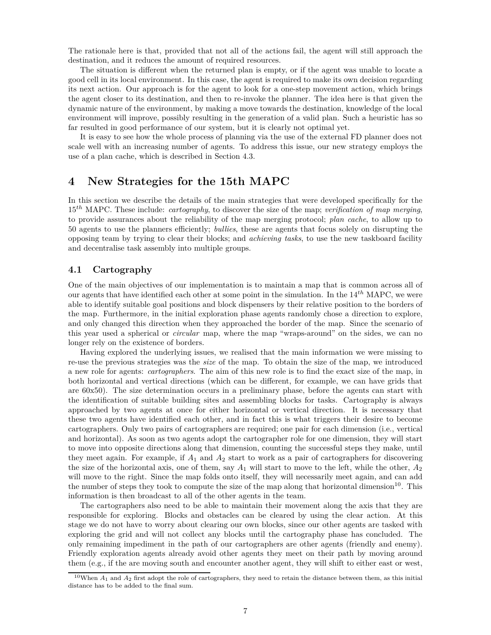The rationale here is that, provided that not all of the actions fail, the agent will still approach the destination, and it reduces the amount of required resources.

The situation is different when the returned plan is empty, or if the agent was unable to locate a good cell in its local environment. In this case, the agent is required to make its own decision regarding its next action. Our approach is for the agent to look for a one-step movement action, which brings the agent closer to its destination, and then to re-invoke the planner. The idea here is that given the dynamic nature of the environment, by making a move towards the destination, knowledge of the local environment will improve, possibly resulting in the generation of a valid plan. Such a heuristic has so far resulted in good performance of our system, but it is clearly not optimal yet.

It is easy to see how the whole process of planning via the use of the external FD planner does not scale well with an increasing number of agents. To address this issue, our new strategy employs the use of a plan cache, which is described in Section [4.3.](#page-8-0)

# <span id="page-6-0"></span>**4 New Strategies for the 15th MAPC**

In this section we describe the details of the main strategies that were developed specifically for the 15*th* MAPC. These include: *cartography*, to discover the size of the map; *verification of map merging*, to provide assurances about the reliability of the map merging protocol; *plan cache*, to allow up to 50 agents to use the planners efficiently; *bullies*, these are agents that focus solely on disrupting the opposing team by trying to clear their blocks; and *achieving tasks*, to use the new taskboard facility and decentralise task assembly into multiple groups.

# <span id="page-6-1"></span>**4.1 Cartography**

One of the main objectives of our implementation is to maintain a map that is common across all of our agents that have identified each other at some point in the simulation. In the 14*th* MAPC, we were able to identify suitable goal positions and block dispensers by their relative position to the borders of the map. Furthermore, in the initial exploration phase agents randomly chose a direction to explore, and only changed this direction when they approached the border of the map. Since the scenario of this year used a spherical or *circular* map, where the map "wraps-around" on the sides, we can no longer rely on the existence of borders.

Having explored the underlying issues, we realised that the main information we were missing to re-use the previous strategies was the *size* of the map. To obtain the size of the map, we introduced a new role for agents: *cartographers*. The aim of this new role is to find the exact size of the map, in both horizontal and vertical directions (which can be different, for example, we can have grids that are 60x50). The size determination occurs in a preliminary phase, before the agents can start with the identification of suitable building sites and assembling blocks for tasks. Cartography is always approached by two agents at once for either horizontal or vertical direction. It is necessary that these two agents have identified each other, and in fact this is what triggers their desire to become cartographers. Only two pairs of cartographers are required; one pair for each dimension (i.e., vertical and horizontal). As soon as two agents adopt the cartographer role for one dimension, they will start to move into opposite directions along that dimension, counting the successful steps they make, until they meet again. For example, if *A*<sup>1</sup> and *A*<sup>2</sup> start to work as a pair of cartographers for discovering the size of the horizontal axis, one of them, say  $A_1$  will start to move to the left, while the other,  $A_2$ will move to the right. Since the map folds onto itself, they will necessarily meet again, and can add the number of steps they took to compute the size of the map along that horizontal dimension<sup>[10](#page-6-2)</sup>. This information is then broadcast to all of the other agents in the team.

The cartographers also need to be able to maintain their movement along the axis that they are responsible for exploring. Blocks and obstacles can be cleared by using the clear action. At this stage we do not have to worry about clearing our own blocks, since our other agents are tasked with exploring the grid and will not collect any blocks until the cartography phase has concluded. The only remaining impediment in the path of our cartographers are other agents (friendly and enemy). Friendly exploration agents already avoid other agents they meet on their path by moving around them (e.g., if the are moving south and encounter another agent, they will shift to either east or west,

<span id="page-6-2"></span><sup>&</sup>lt;sup>10</sup>When  $A_1$  and  $A_2$  first adopt the role of cartographers, they need to retain the distance between them, as this initial distance has to be added to the final sum.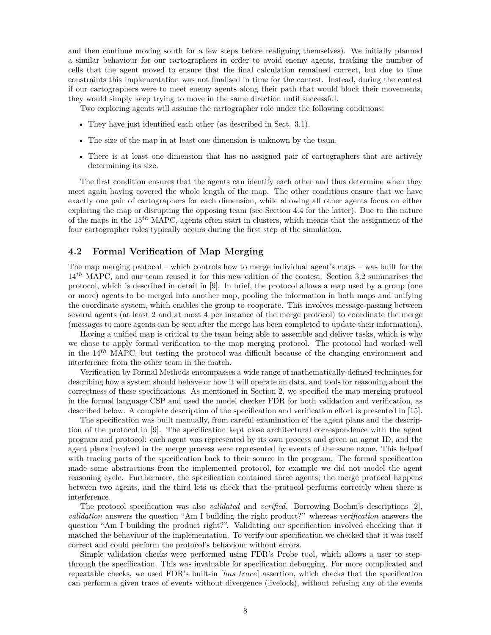and then continue moving south for a few steps before realigning themselves). We initially planned a similar behaviour for our cartographers in order to avoid enemy agents, tracking the number of cells that the agent moved to ensure that the final calculation remained correct, but due to time constraints this implementation was not finalised in time for the contest. Instead, during the contest if our cartographers were to meet enemy agents along their path that would block their movements, they would simply keep trying to move in the same direction until successful.

Two exploring agents will assume the cartographer role under the following conditions:

- They have just identified each other (as described in Sect. [3.1\)](#page-2-3).
- The size of the map in at least one dimension is unknown by the team.
- There is at least one dimension that has no assigned pair of cartographers that are actively determining its size.

The first condition ensures that the agents can identify each other and thus determine when they meet again having covered the whole length of the map. The other conditions ensure that we have exactly one pair of cartographers for each dimension, while allowing all other agents focus on either exploring the map or disrupting the opposing team (see Section [4.4](#page-9-0) for the latter). Due to the nature of the maps in the 15*th* MAPC, agents often start in clusters, which means that the assignment of the four cartographer roles typically occurs during the first step of the simulation.

# <span id="page-7-0"></span>**4.2 Formal Verification of Map Merging**

The map merging protocol – which controls how to merge individual agent's maps – was built for the 14*th* MAPC, and our team reused it for this new edition of the contest. Section [3.2](#page-4-1) summarises the protocol, which is described in detail in [\[9\]](#page-17-0). In brief, the protocol allows a map used by a group (one or more) agents to be merged into another map, pooling the information in both maps and unifying the coordinate system, which enables the group to cooperate. This involves message-passing between several agents (at least 2 and at most 4 per instance of the merge protocol) to coordinate the merge (messages to more agents can be sent after the merge has been completed to update their information).

Having a unified map is critical to the team being able to assemble and deliver tasks, which is why we chose to apply formal verification to the map merging protocol. The protocol had worked well in the 14*th* MAPC, but testing the protocol was difficult because of the changing environment and interference from the other team in the match.

Verification by Formal Methods encompasses a wide range of mathematically-defined techniques for describing how a system should behave or how it will operate on data, and tools for reasoning about the correctness of these specifications. As mentioned in Section [2,](#page-1-1) we specified the map merging protocol in the formal language CSP and used the model checker FDR for both validation and verification, as described below. A complete description of the specification and verification effort is presented in [\[15\]](#page-17-10).

The specification was built manually, from careful examination of the agent plans and the description of the protocol in [\[9\]](#page-17-0). The specification kept close architectural correspondence with the agent program and protocol: each agent was represented by its own process and given an agent ID, and the agent plans involved in the merge process were represented by events of the same name. This helped with tracing parts of the specification back to their source in the program. The formal specification made some abstractions from the implemented protocol, for example we did not model the agent reasoning cycle. Furthermore, the specification contained three agents; the merge protocol happens between two agents, and the third lets us check that the protocol performs correctly when there is interference.

The protocol specification was also *validated* and *verified*. Borrowing Boehm's descriptions [\[2\]](#page-16-6), *validation* answers the question "Am I building the right product?" whereas *verification* answers the question "Am I building the product right?". Validating our specification involved checking that it matched the behaviour of the implementation. To verify our specification we checked that it was itself correct and could perform the protocol's behaviour without errors.

Simple validation checks were performed using FDR's Probe tool, which allows a user to stepthrough the specification. This was invaluable for specification debugging. For more complicated and repeatable checks, we used FDR's built-in [*has trace*] assertion, which checks that the specification can perform a given trace of events without divergence (livelock), without refusing any of the events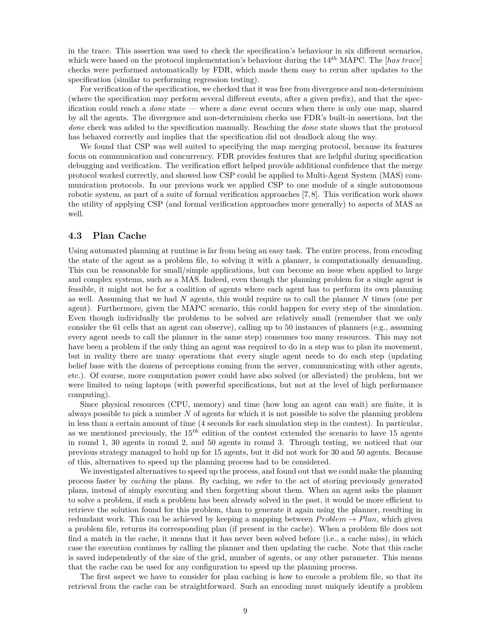in the trace. This assertion was used to check the specification's behaviour in six different scenarios, which were based on the protocol implementation's behaviour during the 14*th* MAPC. The [*has trace*] checks were performed automatically by FDR, which made them easy to rerun after updates to the specification (similar to performing regression testing).

For verification of the specification, we checked that it was free from divergence and non-determinism (where the specification may perform several different events, after a given prefix), and that the specification could reach a *done* state — where a *done* event occurs when there is only one map, shared by all the agents. The divergence and non-determinism checks use FDR's built-in assertions, but the *done* check was added to the specification manually. Reaching the *done* state shows that the protocol has behaved correctly and implies that the specification did not deadlock along the way.

We found that CSP was well suited to specifying the map merging protocol, because its features focus on communication and concurrency. FDR provides features that are helpful during specification debugging and verification. The verification effort helped provide additional confidence that the merge protocol worked correctly, and showed how CSP could be applied to Multi-Agent System (MAS) communication protocols. In our previous work we applied CSP to one module of a single autonomous robotic system, as part of a suite of formal verification approaches [\[7,](#page-16-7) [8\]](#page-16-8). This verification work shows the utility of applying CSP (and formal verification approaches more generally) to aspects of MAS as well.

# <span id="page-8-0"></span>**4.3 Plan Cache**

Using automated planning at runtime is far from being an easy task. The entire process, from encoding the state of the agent as a problem file, to solving it with a planner, is computationally demanding. This can be reasonable for small/simple applications, but can become an issue when applied to large and complex systems, such as a MAS. Indeed, even though the planning problem for a single agent is feasible, it might not be for a coalition of agents where each agent has to perform its own planning as well. Assuming that we had *N* agents, this would require us to call the planner *N* times (one per agent). Furthermore, given the MAPC scenario, this could happen for every step of the simulation. Even though individually the problems to be solved are relatively small (remember that we only consider the 61 cells that an agent can observe), calling up to 50 instances of planners (e.g., assuming every agent needs to call the planner in the same step) consumes too many resources. This may not have been a problem if the only thing an agent was required to do in a step was to plan its movement, but in reality there are many operations that every single agent needs to do each step (updating belief base with the dozens of perceptions coming from the server, communicating with other agents, etc.). Of course, more computation power could have also solved (or alleviated) the problem, but we were limited to using laptops (with powerful specifications, but not at the level of high performance computing).

Since physical resources (CPU, memory) and time (how long an agent can wait) are finite, it is always possible to pick a number *N* of agents for which it is not possible to solve the planning problem in less than a certain amount of time (4 seconds for each simulation step in the contest). In particular, as we mentioned previously, the 15*th* edition of the contest extended the scenario to have 15 agents in round 1, 30 agents in round 2, and 50 agents in round 3. Through testing, we noticed that our previous strategy managed to hold up for 15 agents, but it did not work for 30 and 50 agents. Because of this, alternatives to speed up the planning process had to be considered.

We investigated alternatives to speed up the process, and found out that we could make the planning process faster by *caching* the plans. By caching, we refer to the act of storing previously generated plans, instead of simply executing and then forgetting about them. When an agent asks the planner to solve a problem, if such a problem has been already solved in the past, it would be more efficient to retrieve the solution found for this problem, than to generate it again using the planner, resulting in redundant work. This can be achieved by keeping a mapping between  $Problem \rightarrow Plan$ , which given a problem file, returns its corresponding plan (if present in the cache). When a problem file does not find a match in the cache, it means that it has never been solved before (i.e., a cache miss), in which case the execution continues by calling the planner and then updating the cache. Note that this cache is saved independently of the size of the grid, number of agents, or any other parameter. This means that the cache can be used for any configuration to speed up the planning process.

The first aspect we have to consider for plan caching is how to encode a problem file, so that its retrieval from the cache can be straightforward. Such an encoding must uniquely identify a problem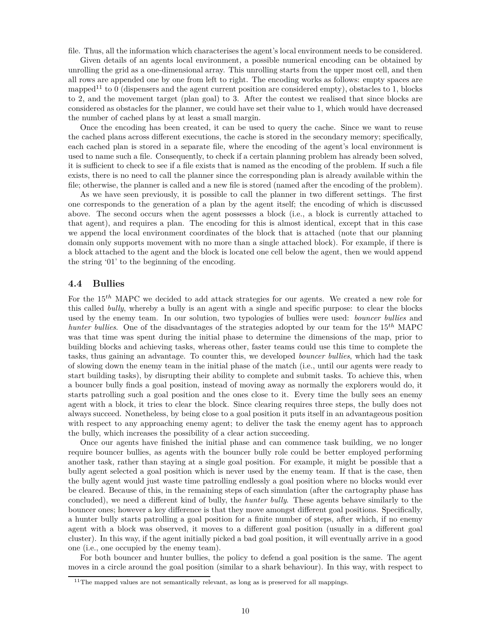file. Thus, all the information which characterises the agent's local environment needs to be considered.

Given details of an agents local environment, a possible numerical encoding can be obtained by unrolling the grid as a one-dimensional array. This unrolling starts from the upper most cell, and then all rows are appended one by one from left to right. The encoding works as follows: empty spaces are mapped<sup>[11](#page-9-1)</sup> to 0 (dispensers and the agent current position are considered empty), obstacles to 1, blocks to 2, and the movement target (plan goal) to 3. After the contest we realised that since blocks are considered as obstacles for the planner, we could have set their value to 1, which would have decreased the number of cached plans by at least a small margin.

Once the encoding has been created, it can be used to query the cache. Since we want to reuse the cached plans across different executions, the cache is stored in the secondary memory; specifically, each cached plan is stored in a separate file, where the encoding of the agent's local environment is used to name such a file. Consequently, to check if a certain planning problem has already been solved, it is sufficient to check to see if a file exists that is named as the encoding of the problem. If such a file exists, there is no need to call the planner since the corresponding plan is already available within the file; otherwise, the planner is called and a new file is stored (named after the encoding of the problem).

As we have seen previously, it is possible to call the planner in two different settings. The first one corresponds to the generation of a plan by the agent itself; the encoding of which is discussed above. The second occurs when the agent possesses a block (i.e., a block is currently attached to that agent), and requires a plan. The encoding for this is almost identical, except that in this case we append the local environment coordinates of the block that is attached (note that our planning domain only supports movement with no more than a single attached block). For example, if there is a block attached to the agent and the block is located one cell below the agent, then we would append the string '01' to the beginning of the encoding.

# <span id="page-9-0"></span>**4.4 Bullies**

For the 15*th* MAPC we decided to add attack strategies for our agents. We created a new role for this called *bully*, whereby a bully is an agent with a single and specific purpose: to clear the blocks used by the enemy team. In our solution, two typologies of bullies were used: *bouncer bullies* and *hunter bullies*. One of the disadvantages of the strategies adopted by our team for the 15*th* MAPC was that time was spent during the initial phase to determine the dimensions of the map, prior to building blocks and achieving tasks, whereas other, faster teams could use this time to complete the tasks, thus gaining an advantage. To counter this, we developed *bouncer bullies*, which had the task of slowing down the enemy team in the initial phase of the match (i.e., until our agents were ready to start building tasks), by disrupting their ability to complete and submit tasks. To achieve this, when a bouncer bully finds a goal position, instead of moving away as normally the explorers would do, it starts patrolling such a goal position and the ones close to it. Every time the bully sees an enemy agent with a block, it tries to clear the block. Since clearing requires three steps, the bully does not always succeed. Nonetheless, by being close to a goal position it puts itself in an advantageous position with respect to any approaching enemy agent; to deliver the task the enemy agent has to approach the bully, which increases the possibility of a clear action succeeding.

Once our agents have finished the initial phase and can commence task building, we no longer require bouncer bullies, as agents with the bouncer bully role could be better employed performing another task, rather than staying at a single goal position. For example, it might be possible that a bully agent selected a goal position which is never used by the enemy team. If that is the case, then the bully agent would just waste time patrolling endlessly a goal position where no blocks would ever be cleared. Because of this, in the remaining steps of each simulation (after the cartography phase has concluded), we need a different kind of bully, the *hunter bully*. These agents behave similarly to the bouncer ones; however a key difference is that they move amongst different goal positions. Specifically, a hunter bully starts patrolling a goal position for a finite number of steps, after which, if no enemy agent with a block was observed, it moves to a different goal position (usually in a different goal cluster). In this way, if the agent initially picked a bad goal position, it will eventually arrive in a good one (i.e., one occupied by the enemy team).

For both bouncer and hunter bullies, the policy to defend a goal position is the same. The agent moves in a circle around the goal position (similar to a shark behaviour). In this way, with respect to

<span id="page-9-1"></span><sup>&</sup>lt;sup>11</sup>The mapped values are not semantically relevant, as long as is preserved for all mappings.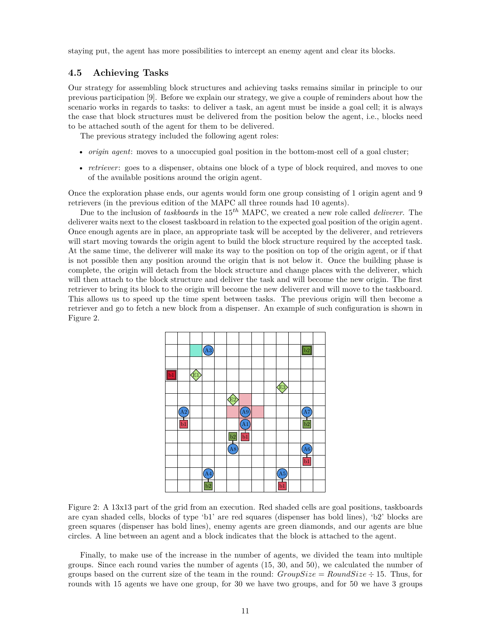staying put, the agent has more possibilities to intercept an enemy agent and clear its blocks.

# **4.5 Achieving Tasks**

Our strategy for assembling block structures and achieving tasks remains similar in principle to our previous participation [\[9\]](#page-17-0). Before we explain our strategy, we give a couple of reminders about how the scenario works in regards to tasks: to deliver a task, an agent must be inside a goal cell; it is always the case that block structures must be delivered from the position below the agent, i.e., blocks need to be attached south of the agent for them to be delivered.

The previous strategy included the following agent roles:

- *origin agent*: moves to a unoccupied goal position in the bottom-most cell of a goal cluster;
- *retriever*: goes to a dispenser, obtains one block of a type of block required, and moves to one of the available positions around the origin agent.

Once the exploration phase ends, our agents would form one group consisting of 1 origin agent and 9 retrievers (in the previous edition of the MAPC all three rounds had 10 agents).

Due to the inclusion of *taskboards* in the 15*th* MAPC, we created a new role called *deliverer*. The deliverer waits next to the closest taskboard in relation to the expected goal position of the origin agent. Once enough agents are in place, an appropriate task will be accepted by the deliverer, and retrievers will start moving towards the origin agent to build the block structure required by the accepted task. At the same time, the deliverer will make its way to the position on top of the origin agent, or if that is not possible then any position around the origin that is not below it. Once the building phase is complete, the origin will detach from the block structure and change places with the deliverer, which will then attach to the block structure and deliver the task and will become the new origin. The first retriever to bring its block to the origin will become the new deliverer and will move to the taskboard. This allows us to speed up the time spent between tasks. The previous origin will then become a retriever and go to fetch a new block from a dispenser. An example of such configuration is shown in Figure [2.](#page-10-0)



Figure 2: A 13x13 part of the grid from an execution. Red shaded cells are goal positions, taskboards are cyan shaded cells, blocks of type 'b1' are red squares (dispenser has bold lines), 'b2' blocks are green squares (dispenser has bold lines), enemy agents are green diamonds, and our agents are blue circles. A line between an agent and a block indicates that the block is attached to the agent.

<span id="page-10-0"></span>Finally, to make use of the increase in the number of agents, we divided the team into multiple groups. Since each round varies the number of agents (15, 30, and 50), we calculated the number of groups based on the current size of the team in the round:  $GroupSize = RoundSize \div 15$ . Thus, for rounds with 15 agents we have one group, for 30 we have two groups, and for 50 we have 3 groups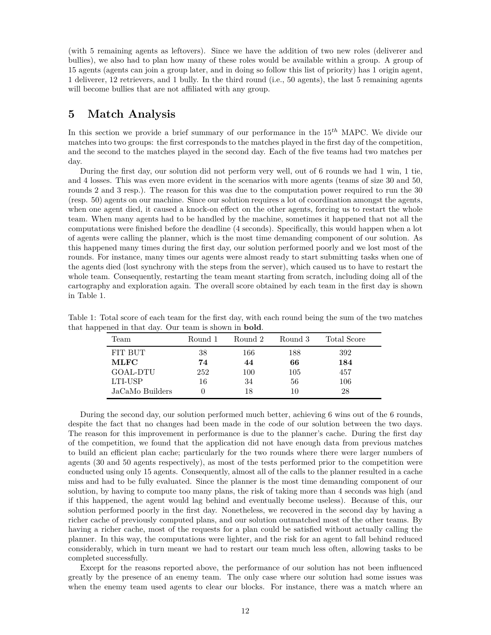(with 5 remaining agents as leftovers). Since we have the addition of two new roles (deliverer and bullies), we also had to plan how many of these roles would be available within a group. A group of 15 agents (agents can join a group later, and in doing so follow this list of priority) has 1 origin agent, 1 deliverer, 12 retrievers, and 1 bully. In the third round (i.e., 50 agents), the last 5 remaining agents will become bullies that are not affiliated with any group.

# <span id="page-11-0"></span>**5 Match Analysis**

In this section we provide a brief summary of our performance in the 15*th* MAPC. We divide our matches into two groups: the first corresponds to the matches played in the first day of the competition, and the second to the matches played in the second day. Each of the five teams had two matches per day.

During the first day, our solution did not perform very well, out of 6 rounds we had 1 win, 1 tie, and 4 losses. This was even more evident in the scenarios with more agents (teams of size 30 and 50, rounds 2 and 3 resp.). The reason for this was due to the computation power required to run the 30 (resp. 50) agents on our machine. Since our solution requires a lot of coordination amongst the agents, when one agent died, it caused a knock-on effect on the other agents, forcing us to restart the whole team. When many agents had to be handled by the machine, sometimes it happened that not all the computations were finished before the deadline (4 seconds). Specifically, this would happen when a lot of agents were calling the planner, which is the most time demanding component of our solution. As this happened many times during the first day, our solution performed poorly and we lost most of the rounds. For instance, many times our agents were almost ready to start submitting tasks when one of the agents died (lost synchrony with the steps from the server), which caused us to have to restart the whole team. Consequently, restarting the team meant starting from scratch, including doing all of the cartography and exploration again. The overall score obtained by each team in the first day is shown in Table [1.](#page-11-1)

| Table 1: Total score of each team for the first day, with each round being the sum of the two matches |  |
|-------------------------------------------------------------------------------------------------------|--|
| that happened in that day. Our team is shown in <b>bold</b> .                                         |  |

<span id="page-11-1"></span>

| Team            | Round 1 | Round 2 | Round 3 | Total Score |
|-----------------|---------|---------|---------|-------------|
| FIT BUT         | 38      | 166     | 188     | 392         |
| <b>MLFC</b>     | 74      | 44      | 66      | 184         |
| GOAL-DTU        | 252     | 100     | 105     | 457         |
| LTI-USP         | 16      | 34      | 56      | 106         |
| JaCaMo Builders |         | 18      |         | 28          |

During the second day, our solution performed much better, achieving 6 wins out of the 6 rounds, despite the fact that no changes had been made in the code of our solution between the two days. The reason for this improvement in performance is due to the planner's cache. During the first day of the competition, we found that the application did not have enough data from previous matches to build an efficient plan cache; particularly for the two rounds where there were larger numbers of agents (30 and 50 agents respectively), as most of the tests performed prior to the competition were conducted using only 15 agents. Consequently, almost all of the calls to the planner resulted in a cache miss and had to be fully evaluated. Since the planner is the most time demanding component of our solution, by having to compute too many plans, the risk of taking more than 4 seconds was high (and if this happened, the agent would lag behind and eventually become useless). Because of this, our solution performed poorly in the first day. Nonetheless, we recovered in the second day by having a richer cache of previously computed plans, and our solution outmatched most of the other teams. By having a richer cache, most of the requests for a plan could be satisfied without actually calling the planner. In this way, the computations were lighter, and the risk for an agent to fall behind reduced considerably, which in turn meant we had to restart our team much less often, allowing tasks to be completed successfully.

Except for the reasons reported above, the performance of our solution has not been influenced greatly by the presence of an enemy team. The only case where our solution had some issues was when the enemy team used agents to clear our blocks. For instance, there was a match where an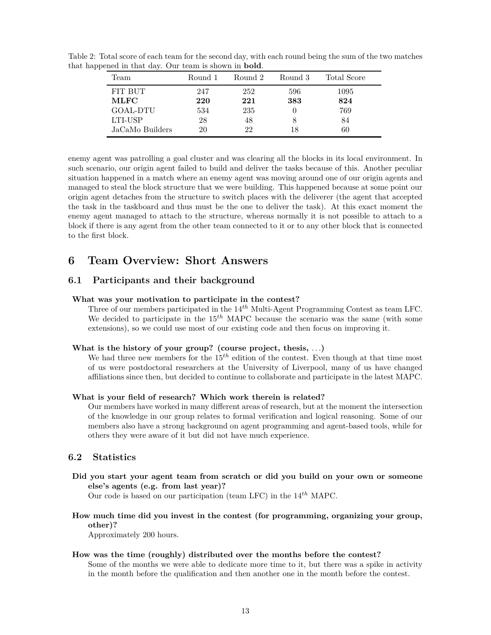| Team            | Round 1 | Round 2 | Round 3 | Total Score |
|-----------------|---------|---------|---------|-------------|
| FIT BUT         | 247     | 252     | 596     | 1095        |
| <b>MLFC</b>     | 220     | 221     | 383     | 824         |
| GOAL-DTU        | 534     | 235     |         | 769         |
| LTI-USP         | 28      | 48      |         | 84          |
| JaCaMo Builders | 20      | 22      | 18      | 60          |

Table 2: Total score of each team for the second day, with each round being the sum of the two matches that happened in that day. Our team is shown in **bold**.

enemy agent was patrolling a goal cluster and was clearing all the blocks in its local environment. In such scenario, our origin agent failed to build and deliver the tasks because of this. Another peculiar situation happened in a match where an enemy agent was moving around one of our origin agents and managed to steal the block structure that we were building. This happened because at some point our origin agent detaches from the structure to switch places with the deliverer (the agent that accepted the task in the taskboard and thus must be the one to deliver the task). At this exact moment the enemy agent managed to attach to the structure, whereas normally it is not possible to attach to a block if there is any agent from the other team connected to it or to any other block that is connected to the first block.

# <span id="page-12-0"></span>**6 Team Overview: Short Answers**

# **6.1 Participants and their background**

# **What was your motivation to participate in the contest?**

Three of our members participated in the 14*th* Multi-Agent Programming Contest as team LFC. We decided to participate in the 15*th* MAPC because the scenario was the same (with some extensions), so we could use most of our existing code and then focus on improving it.

# **What is the history of your group? (course project, thesis,** *. . .***)**

We had three new members for the 15*th* edition of the contest. Even though at that time most of us were postdoctoral researchers at the University of Liverpool, many of us have changed affiliations since then, but decided to continue to collaborate and participate in the latest MAPC.

# **What is your field of research? Which work therein is related?**

Our members have worked in many different areas of research, but at the moment the intersection of the knowledge in our group relates to formal verification and logical reasoning. Some of our members also have a strong background on agent programming and agent-based tools, while for others they were aware of it but did not have much experience.

# **6.2 Statistics**

**Did you start your agent team from scratch or did you build on your own or someone else's agents (e.g. from last year)?**

Our code is based on our participation (team LFC) in the 14*th* MAPC.

**How much time did you invest in the contest (for programming, organizing your group, other)?**

Approximately 200 hours.

### **How was the time (roughly) distributed over the months before the contest?**

Some of the months we were able to dedicate more time to it, but there was a spike in activity in the month before the qualification and then another one in the month before the contest.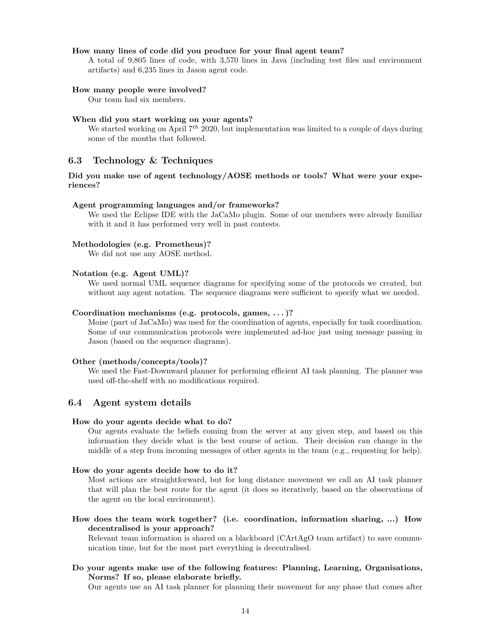#### **How many lines of code did you produce for your final agent team?**

A total of 9,805 lines of code, with 3,570 lines in Java (including test files and environment artifacts) and 6,235 lines in Jason agent code.

#### **How many people were involved?**

Our team had six members.

# **When did you start working on your agents?**

We started working on April  $7^{th}$  2020, but implementation was limited to a couple of days during some of the months that followed.

## **6.3 Technology & Techniques**

## **Did you make use of agent technology/AOSE methods or tools? What were your experiences?**

#### **Agent programming languages and/or frameworks?**

We used the Eclipse IDE with the JaCaMo plugin. Some of our members were already familiar with it and it has performed very well in past contests.

#### **Methodologies (e.g. Prometheus)?**

We did not use any AOSE method.

#### **Notation (e.g. Agent UML)?**

We used normal UML sequence diagrams for specifying some of the protocols we created, but without any agent notation. The sequence diagrams were sufficient to specify what we needed.

# **Coordination mechanisms (e.g. protocols, games, . . . )?**

Moise (part of JaCaMo) was used for the coordination of agents, especially for task coordination. Some of our communication protocols were implemented ad-hoc just using message passing in Jason (based on the sequence diagrams).

#### **Other (methods/concepts/tools)?**

We used the Fast-Downward planner for performing efficient AI task planning. The planner was used off-the-shelf with no modifications required.

### **6.4 Agent system details**

#### **How do your agents decide what to do?**

Our agents evaluate the beliefs coming from the server at any given step, and based on this information they decide what is the best course of action. Their decision can change in the middle of a step from incoming messages of other agents in the team (e.g., requesting for help).

#### **How do your agents decide how to do it?**

Most actions are straightforward, but for long distance movement we call an AI task planner that will plan the best route for the agent (it does so iteratively, based on the observations of the agent on the local environment).

# **How does the team work together? (i.e. coordination, information sharing, ...) How decentralised is your approach?**

Relevant team information is shared on a blackboard (CArtAgO team artifact) to save communication time, but for the most part everything is decentralised.

## **Do your agents make use of the following features: Planning, Learning, Organisations, Norms? If so, please elaborate briefly.**

Our agents use an AI task planner for planning their movement for any phase that comes after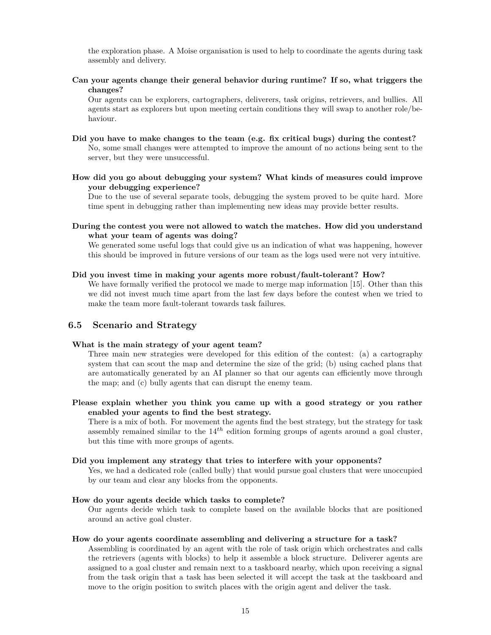the exploration phase. A Moise organisation is used to help to coordinate the agents during task assembly and delivery.

**Can your agents change their general behavior during runtime? If so, what triggers the changes?**

Our agents can be explorers, cartographers, deliverers, task origins, retrievers, and bullies. All agents start as explorers but upon meeting certain conditions they will swap to another role/behaviour.

- **Did you have to make changes to the team (e.g. fix critical bugs) during the contest?** No, some small changes were attempted to improve the amount of no actions being sent to the server, but they were unsuccessful.
- **How did you go about debugging your system? What kinds of measures could improve your debugging experience?**

Due to the use of several separate tools, debugging the system proved to be quite hard. More time spent in debugging rather than implementing new ideas may provide better results.

**During the contest you were not allowed to watch the matches. How did you understand what your team of agents was doing?**

We generated some useful logs that could give us an indication of what was happening, however this should be improved in future versions of our team as the logs used were not very intuitive.

#### **Did you invest time in making your agents more robust/fault-tolerant? How?**

We have formally verified the protocol we made to merge map information [\[15\]](#page-17-10). Other than this we did not invest much time apart from the last few days before the contest when we tried to make the team more fault-tolerant towards task failures.

# **6.5 Scenario and Strategy**

#### **What is the main strategy of your agent team?**

Three main new strategies were developed for this edition of the contest: (a) a cartography system that can scout the map and determine the size of the grid; (b) using cached plans that are automatically generated by an AI planner so that our agents can efficiently move through the map; and (c) bully agents that can disrupt the enemy team.

**Please explain whether you think you came up with a good strategy or you rather enabled your agents to find the best strategy.**

There is a mix of both. For movement the agents find the best strategy, but the strategy for task assembly remained similar to the  $14^{th}$  edition forming groups of agents around a goal cluster, but this time with more groups of agents.

#### **Did you implement any strategy that tries to interfere with your opponents?**

Yes, we had a dedicated role (called bully) that would pursue goal clusters that were unoccupied by our team and clear any blocks from the opponents.

#### **How do your agents decide which tasks to complete?**

Our agents decide which task to complete based on the available blocks that are positioned around an active goal cluster.

### **How do your agents coordinate assembling and delivering a structure for a task?**

Assembling is coordinated by an agent with the role of task origin which orchestrates and calls the retrievers (agents with blocks) to help it assemble a block structure. Deliverer agents are assigned to a goal cluster and remain next to a taskboard nearby, which upon receiving a signal from the task origin that a task has been selected it will accept the task at the taskboard and move to the origin position to switch places with the origin agent and deliver the task.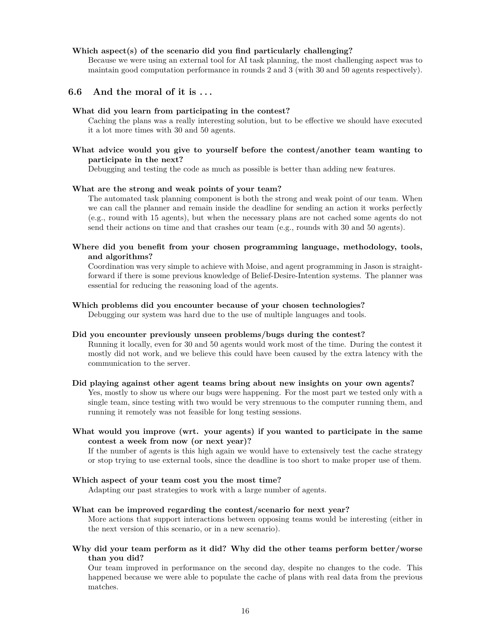#### **Which aspect(s) of the scenario did you find particularly challenging?**

Because we were using an external tool for AI task planning, the most challenging aspect was to maintain good computation performance in rounds 2 and 3 (with 30 and 50 agents respectively).

# **6.6 And the moral of it is . . .**

### **What did you learn from participating in the contest?**

Caching the plans was a really interesting solution, but to be effective we should have executed it a lot more times with 30 and 50 agents.

## **What advice would you give to yourself before the contest/another team wanting to participate in the next?**

Debugging and testing the code as much as possible is better than adding new features.

### **What are the strong and weak points of your team?**

The automated task planning component is both the strong and weak point of our team. When we can call the planner and remain inside the deadline for sending an action it works perfectly (e.g., round with 15 agents), but when the necessary plans are not cached some agents do not send their actions on time and that crashes our team (e.g., rounds with 30 and 50 agents).

## **Where did you benefit from your chosen programming language, methodology, tools, and algorithms?**

Coordination was very simple to achieve with Moise, and agent programming in Jason is straightforward if there is some previous knowledge of Belief-Desire-Intention systems. The planner was essential for reducing the reasoning load of the agents.

#### **Which problems did you encounter because of your chosen technologies?**

Debugging our system was hard due to the use of multiple languages and tools.

#### **Did you encounter previously unseen problems/bugs during the contest?**

Running it locally, even for 30 and 50 agents would work most of the time. During the contest it mostly did not work, and we believe this could have been caused by the extra latency with the communication to the server.

#### **Did playing against other agent teams bring about new insights on your own agents?**

Yes, mostly to show us where our bugs were happening. For the most part we tested only with a single team, since testing with two would be very strenuous to the computer running them, and running it remotely was not feasible for long testing sessions.

# **What would you improve (wrt. your agents) if you wanted to participate in the same contest a week from now (or next year)?**

If the number of agents is this high again we would have to extensively test the cache strategy or stop trying to use external tools, since the deadline is too short to make proper use of them.

#### **Which aspect of your team cost you the most time?**

Adapting our past strategies to work with a large number of agents.

#### **What can be improved regarding the contest/scenario for next year?**

More actions that support interactions between opposing teams would be interesting (either in the next version of this scenario, or in a new scenario).

**Why did your team perform as it did? Why did the other teams perform better/worse than you did?**

Our team improved in performance on the second day, despite no changes to the code. This happened because we were able to populate the cache of plans with real data from the previous matches.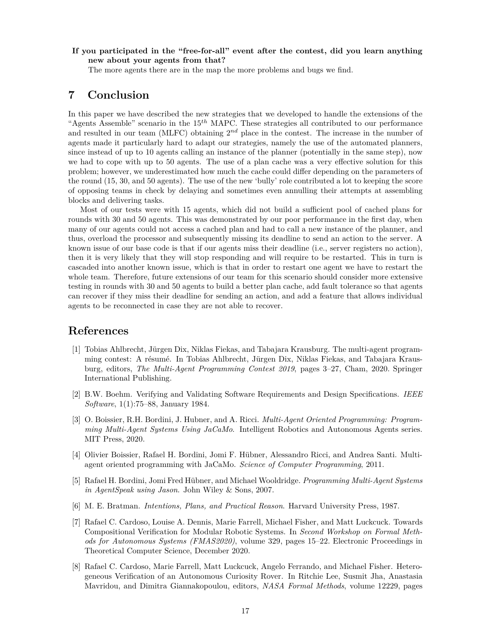### **If you participated in the "free-for-all" event after the contest, did you learn anything new about your agents from that?**

The more agents there are in the map the more problems and bugs we find.

# <span id="page-16-1"></span>**7 Conclusion**

In this paper we have described the new strategies that we developed to handle the extensions of the "Agents Assemble" scenario in the 15*th* MAPC. These strategies all contributed to our performance and resulted in our team (MLFC) obtaining 2*nd* place in the contest. The increase in the number of agents made it particularly hard to adapt our strategies, namely the use of the automated planners, since instead of up to 10 agents calling an instance of the planner (potentially in the same step), now we had to cope with up to 50 agents. The use of a plan cache was a very effective solution for this problem; however, we underestimated how much the cache could differ depending on the parameters of the round (15, 30, and 50 agents). The use of the new 'bully' role contributed a lot to keeping the score of opposing teams in check by delaying and sometimes even annulling their attempts at assembling blocks and delivering tasks.

Most of our tests were with 15 agents, which did not build a sufficient pool of cached plans for rounds with 30 and 50 agents. This was demonstrated by our poor performance in the first day, when many of our agents could not access a cached plan and had to call a new instance of the planner, and thus, overload the processor and subsequently missing its deadline to send an action to the server. A known issue of our base code is that if our agents miss their deadline (i.e., server registers no action), then it is very likely that they will stop responding and will require to be restarted. This in turn is cascaded into another known issue, which is that in order to restart one agent we have to restart the whole team. Therefore, future extensions of our team for this scenario should consider more extensive testing in rounds with 30 and 50 agents to build a better plan cache, add fault tolerance so that agents can recover if they miss their deadline for sending an action, and add a feature that allows individual agents to be reconnected in case they are not able to recover.

# <span id="page-16-0"></span>**References**

- [1] Tobias Ahlbrecht, Jürgen Dix, Niklas Fiekas, and Tabajara Krausburg. The multi-agent programming contest: A résumé. In Tobias Ahlbrecht, Jürgen Dix, Niklas Fiekas, and Tabajara Krausburg, editors, *The Multi-Agent Programming Contest 2019*, pages 3–27, Cham, 2020. Springer International Publishing.
- <span id="page-16-6"></span>[2] B.W. Boehm. Verifying and Validating Software Requirements and Design Specifications. *IEEE Software*, 1(1):75–88, January 1984.
- <span id="page-16-2"></span>[3] O. Boissier, R.H. Bordini, J. Hubner, and A. Ricci. *Multi-Agent Oriented Programming: Programming Multi-Agent Systems Using JaCaMo*. Intelligent Robotics and Autonomous Agents series. MIT Press, 2020.
- <span id="page-16-3"></span>[4] Olivier Boissier, Rafael H. Bordini, Jomi F. Hübner, Alessandro Ricci, and Andrea Santi. Multiagent oriented programming with JaCaMo. *Science of Computer Programming*, 2011.
- <span id="page-16-4"></span>[5] Rafael H. Bordini, Jomi Fred Hübner, and Michael Wooldridge. *Programming Multi-Agent Systems in AgentSpeak using Jason*. John Wiley & Sons, 2007.
- <span id="page-16-7"></span><span id="page-16-5"></span>[6] M. E. Bratman. *Intentions, Plans, and Practical Reason*. Harvard University Press, 1987.
- [7] Rafael C. Cardoso, Louise A. Dennis, Marie Farrell, Michael Fisher, and Matt Luckcuck. Towards Compositional Verification for Modular Robotic Systems. In *Second Workshop on Formal Methods for Autonomous Systems (FMAS2020)*, volume 329, pages 15–22. Electronic Proceedings in Theoretical Computer Science, December 2020.
- <span id="page-16-8"></span>[8] Rafael C. Cardoso, Marie Farrell, Matt Luckcuck, Angelo Ferrando, and Michael Fisher. Heterogeneous Verification of an Autonomous Curiosity Rover. In Ritchie Lee, Susmit Jha, Anastasia Mavridou, and Dimitra Giannakopoulou, editors, *NASA Formal Methods*, volume 12229, pages